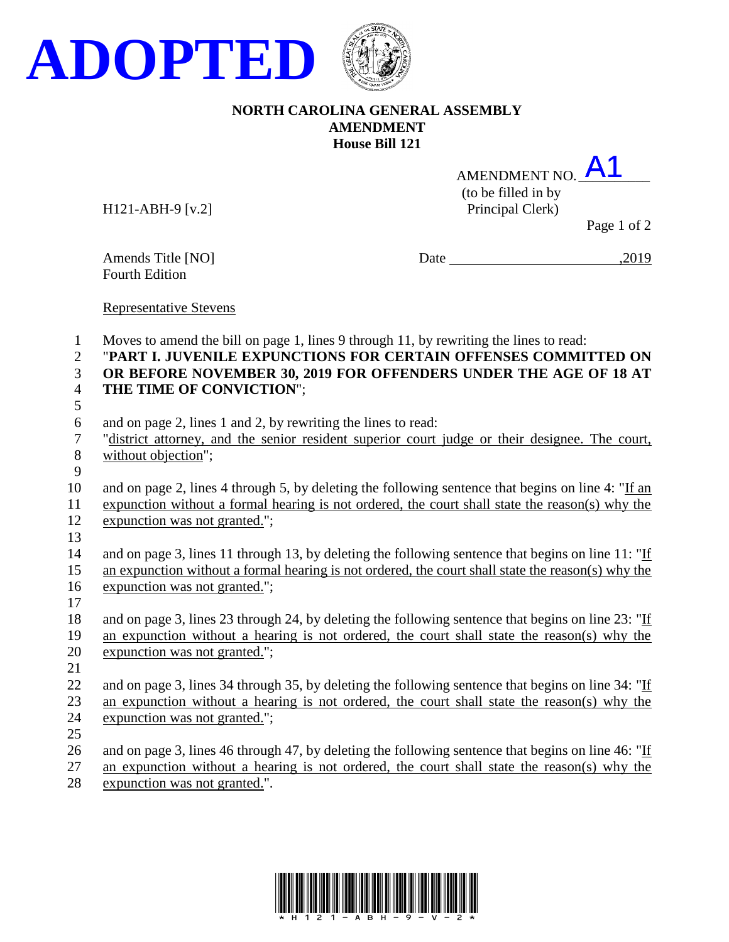

## **NORTH CAROLINA GENERAL ASSEMBLY AMENDMENT House Bill 121**

AMENDMENT NO. A1 (to be filled in by H121-ABH-9 [v.2] Principal Clerk)

Page 1 of 2

Fourth Edition

Amends Title [NO] Date ,2019

Representative Stevens

Moves to amend the bill on page 1, lines 9 through 11, by rewriting the lines to read:

- "**PART I. JUVENILE EXPUNCTIONS FOR CERTAIN OFFENSES COMMITTED ON OR BEFORE NOVEMBER 30, 2019 FOR OFFENDERS UNDER THE AGE OF 18 AT**
- **THE TIME OF CONVICTION**";
- and on page 2, lines 1 and 2, by rewriting the lines to read:
- "district attorney, and the senior resident superior court judge or their designee. The court, without objection";
- 
- and on page 2, lines 4 through 5, by deleting the following sentence that begins on line 4: "If an expunction without a formal hearing is not ordered, the court shall state the reason(s) why the
- expunction was not granted.";
- and on page 3, lines 11 through 13, by deleting the following sentence that begins on line 11: "If an expunction without a formal hearing is not ordered, the court shall state the reason(s) why the expunction was not granted.";
- 18 and on page 3, lines 23 through 24, by deleting the following sentence that begins on line 23: "If an expunction without a hearing is not ordered, the court shall state the reason(s) why the expunction was not granted.";
- 

22 and on page 3, lines 34 through 35, by deleting the following sentence that begins on line 34: "If an expunction without a hearing is not ordered, the court shall state the reason(s) why the expunction was not granted.";

26 and on page 3, lines 46 through 47, by deleting the following sentence that begins on line 46: "If an expunction without a hearing is not ordered, the court shall state the reason(s) why the

expunction was not granted.".